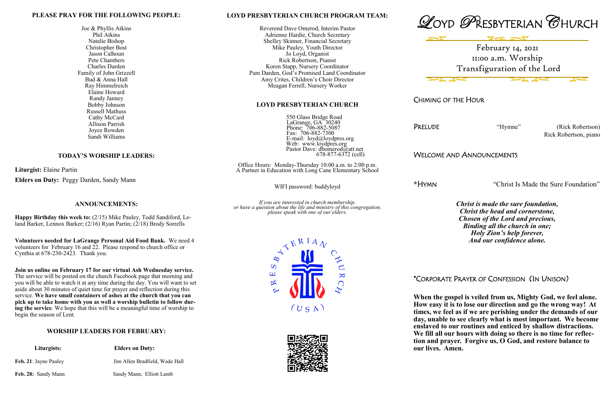#### **LOYD PRESBYTERIAN CHURCH PROGRAM TEAM:**

Reverend Dave Omerod, Interim Pastor Adrienne Hardie, Church Secretary Shelley Skinner, Financial Secretary Mike Pauley, Youth Director Jo Loyd, Organist Rick Robertson, Pianist Koren Stapp, Nursery Coordinator Pam Darden, God's Promised Land Coordinator Amy Crites, Children's Choir Director Meagan Ferrell, Nursery Worker

#### **LOYD PRESBYTERIAN CHURCH**

 550 Glass Bridge Road LaGrange, GA 30240 Phone: 706-882-5087 Fax: 706-882-7300 E-mail: loyd@loydpres.org Web: www.loydpres.org Pastor Dave: dbomerod@att.net 678-877-6372 (cell)

PRELUDE "Hymne" (Rick Robertson) Rick Robertson, piano

Office Hours: Monday-Thursday 10:00 a.m. to 2:00 p.m. A Partner in Education with Long Cane Elementary School

WIFI password: buddyloyd

*If you are interested in church membership, or have a question about the life and ministry of this congregation, please speak with one of our elders.*









CHIMING OF THE HOUR

# WELCOME AND ANNOUNCEMENTS

**\***HYMN "Christ Is Made the Sure Foundation"

**Happy Birthday this week to:** (2/15) Mike Pauley, Todd Sandiford, Leland Barker, Lennox Barker;  $(2/16)$  Ryan Partin;  $(2/18)$  Brody Sorrells

*Christ is made the sure foundation, Christ the head and cornerstone, Chosen of the Lord and precious, Binding all the church in one; Holy Zion's help forever, And our confidence alone.*

# \*CORPORATE PRAYER OF CONFESSION (IN UNISON)

**When the gospel is veiled from us, Mighty God, we feel alone. How easy it is to lose our direction and go the wrong way! At times, we feel as if we are perishing under the demands of our day, unable to see clearly what is most important. We become enslaved to our routines and enticed by shallow distractions. We fill all our hours with doing so there is no time for reflection and prayer. Forgive us, O God, and restore balance to our lives. Amen.**

#### **PLEASE PRAY FOR THE FOLLOWING PEOPLE:**

Joe & Phyllis Atkins Phil Atkins Natalie Bishop Christopher Bost Jason Calhoun Pete Chambers Charles Darden Family of John Grizzell Bud & Anna Hall Ray Himmelreich Elaine Howard Randy Janney Bobby Johnson Russell Mathuss Cathy McCard Allison Parrish Joyce Rowden Sandi Williams

## **TODAY'S WORSHIP LEADERS:**

**Liturgist:** Elaine Partin

**Elders on Duty:** Peggy Darden, Sandy Mann

## **ANNOUNCEMENTS:**

**Volunteers needed for LaGrange Personal Aid Food Bank.** We need 4 volunteers for February 16 and 22. Please respond to church office or Cynthia at 678-230-2423. Thank you.

**Join us online on February 17 for our virtual Ash Wednesday service.**  The service will be posted on the church Facebook page that morning and you will be able to watch it at any time during the day. You will want to set aside about 30 minutes of quiet time for prayer and reflection during this service. **We have small containers of ashes at the church that you can pick up to take home with you as well a worship bulletin to follow during the service**. We hope that this will be a meaningful time of worship to begin the season of Lent.

## **WORSHIP LEADERS FOR FEBRUARY:**

| Liturgists:           | <b>Elders on Duty:</b>         |
|-----------------------|--------------------------------|
| Feb. 21: Jayne Pauley | Jim Allen Bradfield, Wade Hall |
| Feb. 28: Sandy Mann   | Sandy Mann, Elliott Lamb       |

# February 14, 2021 11:00 a.m. Worship Transfiguration of the Lord